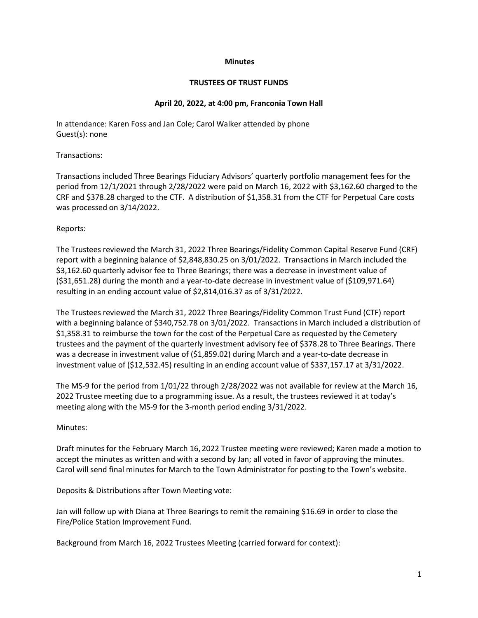### **Minutes**

### **TRUSTEES OF TRUST FUNDS**

## **April 20, 2022, at 4:00 pm, Franconia Town Hall**

In attendance: Karen Foss and Jan Cole; Carol Walker attended by phone Guest(s): none

# Transactions:

Transactions included Three Bearings Fiduciary Advisors' quarterly portfolio management fees for the period from 12/1/2021 through 2/28/2022 were paid on March 16, 2022 with \$3,162.60 charged to the CRF and \$378.28 charged to the CTF. A distribution of \$1,358.31 from the CTF for Perpetual Care costs was processed on 3/14/2022.

# Reports:

The Trustees reviewed the March 31, 2022 Three Bearings/Fidelity Common Capital Reserve Fund (CRF) report with a beginning balance of \$2,848,830.25 on 3/01/2022. Transactions in March included the \$3,162.60 quarterly advisor fee to Three Bearings; there was a decrease in investment value of (\$31,651.28) during the month and a year-to-date decrease in investment value of (\$109,971.64) resulting in an ending account value of \$2,814,016.37 as of 3/31/2022.

The Trustees reviewed the March 31, 2022 Three Bearings/Fidelity Common Trust Fund (CTF) report with a beginning balance of \$340,752.78 on 3/01/2022. Transactions in March included a distribution of \$1,358.31 to reimburse the town for the cost of the Perpetual Care as requested by the Cemetery trustees and the payment of the quarterly investment advisory fee of \$378.28 to Three Bearings. There was a decrease in investment value of (\$1,859.02) during March and a year-to-date decrease in investment value of (\$12,532.45) resulting in an ending account value of \$337,157.17 at 3/31/2022.

The MS-9 for the period from 1/01/22 through 2/28/2022 was not available for review at the March 16, 2022 Trustee meeting due to a programming issue. As a result, the trustees reviewed it at today's meeting along with the MS-9 for the 3-month period ending 3/31/2022.

# Minutes:

Draft minutes for the February March 16, 2022 Trustee meeting were reviewed; Karen made a motion to accept the minutes as written and with a second by Jan; all voted in favor of approving the minutes. Carol will send final minutes for March to the Town Administrator for posting to the Town's website.

Deposits & Distributions after Town Meeting vote:

Jan will follow up with Diana at Three Bearings to remit the remaining \$16.69 in order to close the Fire/Police Station Improvement Fund.

Background from March 16, 2022 Trustees Meeting (carried forward for context):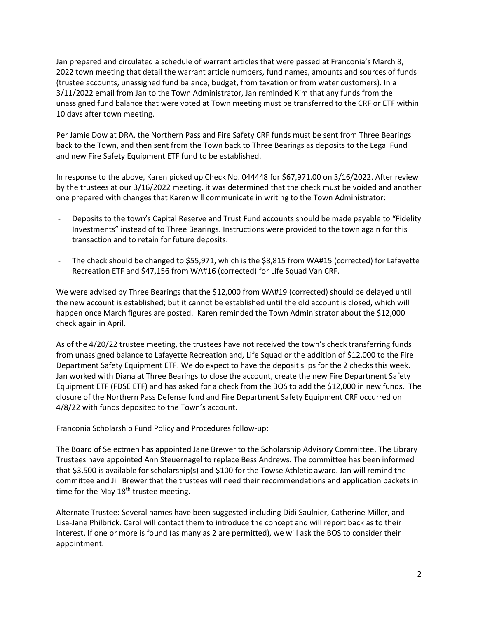Jan prepared and circulated a schedule of warrant articles that were passed at Franconia's March 8, 2022 town meeting that detail the warrant article numbers, fund names, amounts and sources of funds (trustee accounts, unassigned fund balance, budget, from taxation or from water customers). In a 3/11/2022 email from Jan to the Town Administrator, Jan reminded Kim that any funds from the unassigned fund balance that were voted at Town meeting must be transferred to the CRF or ETF within 10 days after town meeting.

Per Jamie Dow at DRA, the Northern Pass and Fire Safety CRF funds must be sent from Three Bearings back to the Town, and then sent from the Town back to Three Bearings as deposits to the Legal Fund and new Fire Safety Equipment ETF fund to be established.

In response to the above, Karen picked up Check No. 044448 for \$67,971.00 on 3/16/2022. After review by the trustees at our 3/16/2022 meeting, it was determined that the check must be voided and another one prepared with changes that Karen will communicate in writing to the Town Administrator:

- Deposits to the town's Capital Reserve and Trust Fund accounts should be made payable to "Fidelity Investments" instead of to Three Bearings. Instructions were provided to the town again for this transaction and to retain for future deposits.
- The check should be changed to \$55,971, which is the \$8,815 from WA#15 (corrected) for Lafayette Recreation ETF and \$47,156 from WA#16 (corrected) for Life Squad Van CRF.

We were advised by Three Bearings that the \$12,000 from WA#19 (corrected) should be delayed until the new account is established; but it cannot be established until the old account is closed, which will happen once March figures are posted. Karen reminded the Town Administrator about the \$12,000 check again in April.

As of the 4/20/22 trustee meeting, the trustees have not received the town's check transferring funds from unassigned balance to Lafayette Recreation and, Life Squad or the addition of \$12,000 to the Fire Department Safety Equipment ETF. We do expect to have the deposit slips for the 2 checks this week. Jan worked with Diana at Three Bearings to close the account, create the new Fire Department Safety Equipment ETF (FDSE ETF) and has asked for a check from the BOS to add the \$12,000 in new funds. The closure of the Northern Pass Defense fund and Fire Department Safety Equipment CRF occurred on 4/8/22 with funds deposited to the Town's account.

Franconia Scholarship Fund Policy and Procedures follow-up:

The Board of Selectmen has appointed Jane Brewer to the Scholarship Advisory Committee. The Library Trustees have appointed Ann Steuernagel to replace Bess Andrews. The committee has been informed that \$3,500 is available for scholarship(s) and \$100 for the Towse Athletic award. Jan will remind the committee and Jill Brewer that the trustees will need their recommendations and application packets in time for the May 18<sup>th</sup> trustee meeting.

Alternate Trustee: Several names have been suggested including Didi Saulnier, Catherine Miller, and Lisa-Jane Philbrick. Carol will contact them to introduce the concept and will report back as to their interest. If one or more is found (as many as 2 are permitted), we will ask the BOS to consider their appointment.